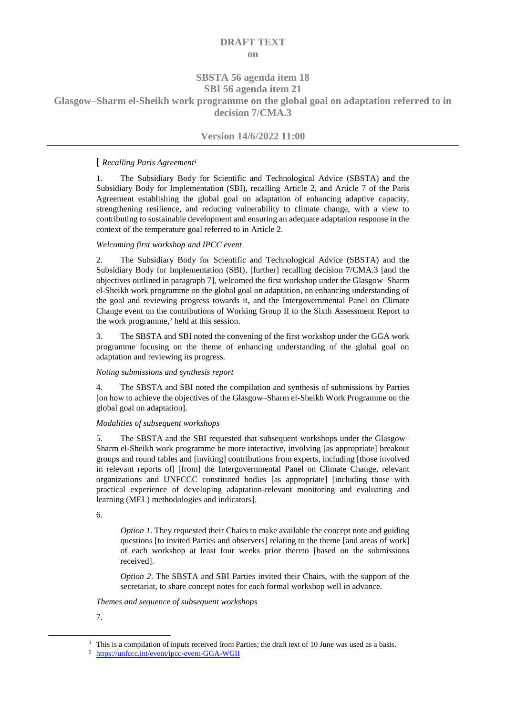# **DRAFT TEXT on**

# **SBSTA 56 agenda item 18 SBI 56 agenda item 21**

**Glasgow–Sharm el-Sheikh work programme on the global goal on adaptation referred to in decision 7/CMA.3**

# **Version 14/6/2022 11:00**

# **[** *Recalling Paris Agreement<sup>1</sup>*

1. The Subsidiary Body for Scientific and Technological Advice (SBSTA) and the Subsidiary Body for Implementation (SBI), recalling Article 2, and Article 7 of the Paris Agreement establishing the global goal on adaptation of enhancing adaptive capacity, strengthening resilience, and reducing vulnerability to climate change, with a view to contributing to sustainable development and ensuring an adequate adaptation response in the context of the temperature goal referred to in Article 2.

# *Welcoming first workshop and IPCC event*

2. The Subsidiary Body for Scientific and Technological Advice (SBSTA) and the Subsidiary Body for Implementation (SBI), [further] recalling decision 7/CMA.3 [and the objectives outlined in paragraph 7], welcomed the first workshop under the Glasgow–Sharm el-Sheikh work programme on the global goal on adaptation, on enhancing understanding of the goal and reviewing progress towards it, and the Intergovernmental Panel on Climate Change event on the contributions of Working Group II to the Sixth Assessment Report to the work programme, <sup>2</sup> held at this session.

3. The SBSTA and SBI noted the convening of the first workshop under the GGA work programme focusing on the theme of enhancing understanding of the global goal on adaptation and reviewing its progress.

# *Noting submissions and synthesis report*

4. The SBSTA and SBI noted the compilation and synthesis of submissions by Parties [on how to achieve the objectives of the Glasgow–Sharm el-Sheikh Work Programme on the global goal on adaptation].

# *Modalities of subsequent workshops*

5. The SBSTA and the SBI requested that subsequent workshops under the Glasgow– Sharm el-Sheikh work programme be more interactive, involving [as appropriate] breakout groups and round tables and [inviting] contributions from experts, including [those involved in relevant reports of] [from] the Intergovernmental Panel on Climate Change, relevant organizations and UNFCCC constituted bodies [as appropriate] [including those with practical experience of developing adaptation-relevant monitoring and evaluating and learning (MEL) methodologies and indicators].

6.

*Option 1*. They requested their Chairs to make available the concept note and guiding questions [to invited Parties and observers] relating to the theme [and areas of work] of each workshop at least four weeks prior thereto [based on the submissions received].

*Option 2*. The SBSTA and SBI Parties invited their Chairs, with the support of the secretariat, to share concept notes for each formal workshop well in advance.

*Themes and sequence of subsequent workshops*

7.

 $\overline{a}$ 

 $<sup>1</sup>$  This is a compilation of inputs received from Parties; the draft text of 10 June was used as a basis.</sup>

<sup>2</sup> <https://unfccc.int/event/ipcc-event-GGA-WGII>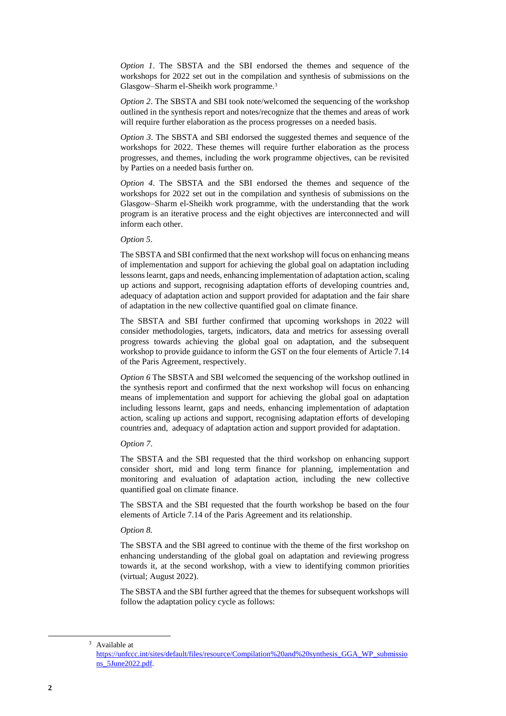*Option 1*. The SBSTA and the SBI endorsed the themes and sequence of the workshops for 2022 set out in the compilation and synthesis of submissions on the Glasgow–Sharm el-Sheikh work programme.<sup>3</sup>

*Option 2*. The SBSTA and SBI took note/welcomed the sequencing of the workshop outlined in the synthesis report and notes/recognize that the themes and areas of work will require further elaboration as the process progresses on a needed basis.

*Option 3*. The SBSTA and SBI endorsed the suggested themes and sequence of the workshops for 2022. These themes will require further elaboration as the process progresses, and themes, including the work programme objectives, can be revisited by Parties on a needed basis further on.

*Option 4*. The SBSTA and the SBI endorsed the themes and sequence of the workshops for 2022 set out in the compilation and synthesis of submissions on the Glasgow–Sharm el-Sheikh work programme, with the understanding that the work program is an iterative process and the eight objectives are interconnected and will inform each other.

### *Option 5*.

The SBSTA and SBI confirmed that the next workshop will focus on enhancing means of implementation and support for achieving the global goal on adaptation including lessons learnt, gaps and needs, enhancing implementation of adaptation action, scaling up actions and support, recognising adaptation efforts of developing countries and, adequacy of adaptation action and support provided for adaptation and the fair share of adaptation in the new collective quantified goal on climate finance.

The SBSTA and SBI further confirmed that upcoming workshops in 2022 will consider methodologies, targets, indicators, data and metrics for assessing overall progress towards achieving the global goal on adaptation, and the subsequent workshop to provide guidance to inform the GST on the four elements of Article 7.14 of the Paris Agreement, respectively.

*Option 6* The SBSTA and SBI welcomed the sequencing of the workshop outlined in the synthesis report and confirmed that the next workshop will focus on enhancing means of implementation and support for achieving the global goal on adaptation including lessons learnt, gaps and needs, enhancing implementation of adaptation action, scaling up actions and support, recognising adaptation efforts of developing countries and, adequacy of adaptation action and support provided for adaptation.

#### *Option 7*.

The SBSTA and the SBI requested that the third workshop on enhancing support consider short, mid and long term finance for planning, implementation and monitoring and evaluation of adaptation action, including the new collective quantified goal on climate finance.

The SBSTA and the SBI requested that the fourth workshop be based on the four elements of Article 7.14 of the Paris Agreement and its relationship.

### *Option 8.*

The SBSTA and the SBI agreed to continue with the theme of the first workshop on enhancing understanding of the global goal on adaptation and reviewing progress towards it, at the second workshop, with a view to identifying common priorities (virtual; August 2022).

The SBSTA and the SBI further agreed that the themes for subsequent workshops will follow the adaptation policy cycle as follows:

-

<sup>3</sup> Available at

[https://unfccc.int/sites/default/files/resource/Compilation%20and%20synthesis\\_GGA\\_WP\\_submissio](https://unfccc.int/sites/default/files/resource/Compilation%20and%20synthesis_GGA_WP_submissions_5June2022.pdf) [ns\\_5June2022.pdf.](https://unfccc.int/sites/default/files/resource/Compilation%20and%20synthesis_GGA_WP_submissions_5June2022.pdf)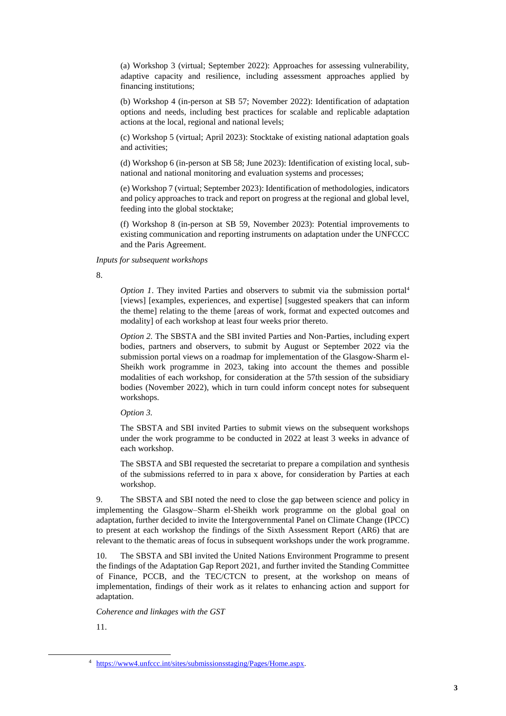(a) Workshop 3 (virtual; September 2022): Approaches for assessing vulnerability, adaptive capacity and resilience, including assessment approaches applied by financing institutions;

(b) Workshop 4 (in-person at SB 57; November 2022): Identification of adaptation options and needs, including best practices for scalable and replicable adaptation actions at the local, regional and national levels;

(c) Workshop 5 (virtual; April 2023): Stocktake of existing national adaptation goals and activities;

(d) Workshop 6 (in-person at SB 58; June 2023): Identification of existing local, subnational and national monitoring and evaluation systems and processes;

(e) Workshop 7 (virtual; September 2023): Identification of methodologies, indicators and policy approaches to track and report on progress at the regional and global level, feeding into the global stocktake;

(f) Workshop 8 (in-person at SB 59, November 2023): Potential improvements to existing communication and reporting instruments on adaptation under the UNFCCC and the Paris Agreement.

*Inputs for subsequent workshops*

8.

*Option 1*. They invited Parties and observers to submit via the submission portal<sup>4</sup> [views] [examples, experiences, and expertise] [suggested speakers that can inform the theme] relating to the theme [areas of work, format and expected outcomes and modality] of each workshop at least four weeks prior thereto.

*Option 2.* The SBSTA and the SBI invited Parties and Non-Parties, including expert bodies, partners and observers, to submit by August or September 2022 via the submission portal views on a roadmap for implementation of the Glasgow-Sharm el-Sheikh work programme in 2023, taking into account the themes and possible modalities of each workshop, for consideration at the 57th session of the subsidiary bodies (November 2022), which in turn could inform concept notes for subsequent workshops.

*Option 3.*

The SBSTA and SBI invited Parties to submit views on the subsequent workshops under the work programme to be conducted in 2022 at least 3 weeks in advance of each workshop.

The SBSTA and SBI requested the secretariat to prepare a compilation and synthesis of the submissions referred to in para x above, for consideration by Parties at each workshop.

9. The SBSTA and SBI noted the need to close the gap between science and policy in implementing the Glasgow–Sharm el-Sheikh work programme on the global goal on adaptation, further decided to invite the Intergovernmental Panel on Climate Change (IPCC) to present at each workshop the findings of the Sixth Assessment Report (AR6) that are relevant to the thematic areas of focus in subsequent workshops under the work programme.

10. The SBSTA and SBI invited the United Nations Environment Programme to present the findings of the Adaptation Gap Report 2021, and further invited the Standing Committee of Finance, PCCB, and the TEC/CTCN to present, at the workshop on means of implementation, findings of their work as it relates to enhancing action and support for adaptation.

*Coherence and linkages with the GST*

11.

-

<sup>4</sup> [https://www4.unfccc.int/sites/submissionsstaging/Pages/Home.aspx.](https://www4.unfccc.int/sites/submissionsstaging/Pages/Home.aspx)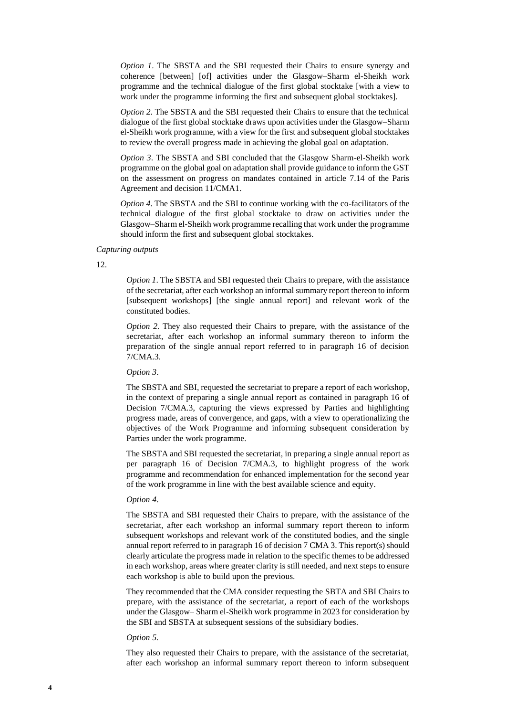*Option 1*. The SBSTA and the SBI requested their Chairs to ensure synergy and coherence [between] [of] activities under the Glasgow–Sharm el-Sheikh work programme and the technical dialogue of the first global stocktake [with a view to work under the programme informing the first and subsequent global stocktakes].

*Option 2*. The SBSTA and the SBI requested their Chairs to ensure that the technical dialogue of the first global stocktake draws upon activities under the Glasgow–Sharm el-Sheikh work programme, with a view for the first and subsequent global stocktakes to review the overall progress made in achieving the global goal on adaptation.

*Option 3*. The SBSTA and SBI concluded that the Glasgow Sharm-el-Sheikh work programme on the global goal on adaptation shall provide guidance to inform the GST on the assessment on progress on mandates contained in article 7.14 of the Paris Agreement and decision 11/CMA1.

*Option 4*. The SBSTA and the SBI to continue working with the co-facilitators of the technical dialogue of the first global stocktake to draw on activities under the Glasgow–Sharm el-Sheikh work programme recalling that work under the programme should inform the first and subsequent global stocktakes.

### *Capturing outputs*

12.

*Option 1*. The SBSTA and SBI requested their Chairs to prepare, with the assistance of the secretariat, after each workshop an informal summary report thereon to inform [subsequent workshops] [the single annual report] and relevant work of the constituted bodies.

*Option 2.* They also requested their Chairs to prepare, with the assistance of the secretariat, after each workshop an informal summary thereon to inform the preparation of the single annual report referred to in paragraph 16 of decision 7/CMA.3.

*Option 3*.

The SBSTA and SBI, requested the secretariat to prepare a report of each workshop, in the context of preparing a single annual report as contained in paragraph 16 of Decision 7/CMA.3, capturing the views expressed by Parties and highlighting progress made, areas of convergence, and gaps, with a view to operationalizing the objectives of the Work Programme and informing subsequent consideration by Parties under the work programme.

The SBSTA and SBI requested the secretariat, in preparing a single annual report as per paragraph 16 of Decision 7/CMA.3, to highlight progress of the work programme and recommendation for enhanced implementation for the second year of the work programme in line with the best available science and equity.

### *Option 4*.

The SBSTA and SBI requested their Chairs to prepare, with the assistance of the secretariat, after each workshop an informal summary report thereon to inform subsequent workshops and relevant work of the constituted bodies, and the single annual report referred to in paragraph 16 of decision 7 CMA 3. This report(s) should clearly articulate the progress made in relation to the specific themes to be addressed in each workshop, areas where greater clarity is still needed, and next steps to ensure each workshop is able to build upon the previous.

They recommended that the CMA consider requesting the SBTA and SBI Chairs to prepare, with the assistance of the secretariat, a report of each of the workshops under the Glasgow– Sharm el-Sheikh work programme in 2023 for consideration by the SBI and SBSTA at subsequent sessions of the subsidiary bodies.

#### *Option 5.*

They also requested their Chairs to prepare, with the assistance of the secretariat, after each workshop an informal summary report thereon to inform subsequent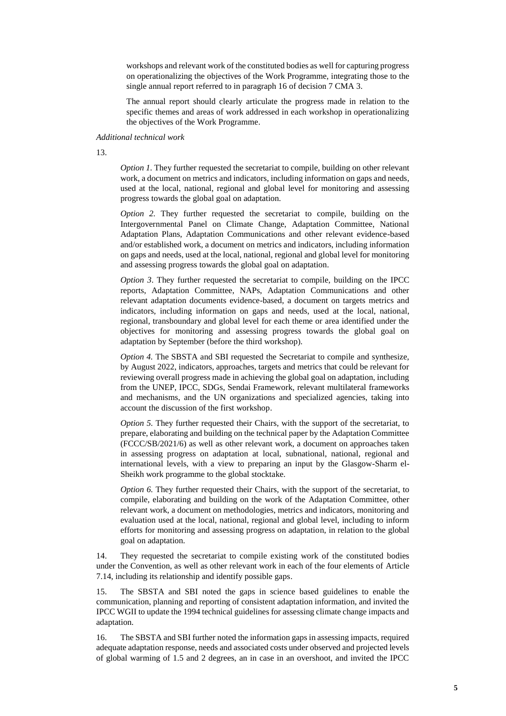workshops and relevant work of the constituted bodies as well for capturing progress on operationalizing the objectives of the Work Programme, integrating those to the single annual report referred to in paragraph 16 of decision 7 CMA 3.

The annual report should clearly articulate the progress made in relation to the specific themes and areas of work addressed in each workshop in operationalizing the objectives of the Work Programme.

*Additional technical work*

13.

*Option 1.* They further requested the secretariat to compile, building on other relevant work, a document on metrics and indicators, including information on gaps and needs, used at the local, national, regional and global level for monitoring and assessing progress towards the global goal on adaptation.

*Option 2.* They further requested the secretariat to compile, building on the Intergovernmental Panel on Climate Change, Adaptation Committee, National Adaptation Plans, Adaptation Communications and other relevant evidence-based and/or established work, a document on metrics and indicators, including information on gaps and needs, used at the local, national, regional and global level for monitoring and assessing progress towards the global goal on adaptation.

*Option 3*. They further requested the secretariat to compile, building on the IPCC reports, Adaptation Committee, NAPs, Adaptation Communications and other relevant adaptation documents evidence-based, a document on targets metrics and indicators, including information on gaps and needs, used at the local, national, regional, transboundary and global level for each theme or area identified under the objectives for monitoring and assessing progress towards the global goal on adaptation by September (before the third workshop).

*Option 4.* The SBSTA and SBI requested the Secretariat to compile and synthesize, by August 2022, indicators, approaches, targets and metrics that could be relevant for reviewing overall progress made in achieving the global goal on adaptation, including from the UNEP, IPCC, SDGs, Sendai Framework, relevant multilateral frameworks and mechanisms, and the UN organizations and specialized agencies, taking into account the discussion of the first workshop.

*Option 5.* They further requested their Chairs, with the support of the secretariat, to prepare, elaborating and building on the technical paper by the Adaptation Committee (FCCC/SB/2021/6) as well as other relevant work, a document on approaches taken in assessing progress on adaptation at local, subnational, national, regional and international levels, with a view to preparing an input by the Glasgow-Sharm el-Sheikh work programme to the global stocktake.

*Option 6.* They further requested their Chairs, with the support of the secretariat, to compile, elaborating and building on the work of the Adaptation Committee, other relevant work, a document on methodologies, metrics and indicators, monitoring and evaluation used at the local, national, regional and global level, including to inform efforts for monitoring and assessing progress on adaptation, in relation to the global goal on adaptation.

14. They requested the secretariat to compile existing work of the constituted bodies under the Convention, as well as other relevant work in each of the four elements of Article 7.14, including its relationship and identify possible gaps.

15. The SBSTA and SBI noted the gaps in science based guidelines to enable the communication, planning and reporting of consistent adaptation information, and invited the IPCC WGII to update the 1994 technical guidelines for assessing climate change impacts and adaptation.

16. The SBSTA and SBI further noted the information gaps in assessing impacts, required adequate adaptation response, needs and associated costs under observed and projected levels of global warming of 1.5 and 2 degrees, an in case in an overshoot, and invited the IPCC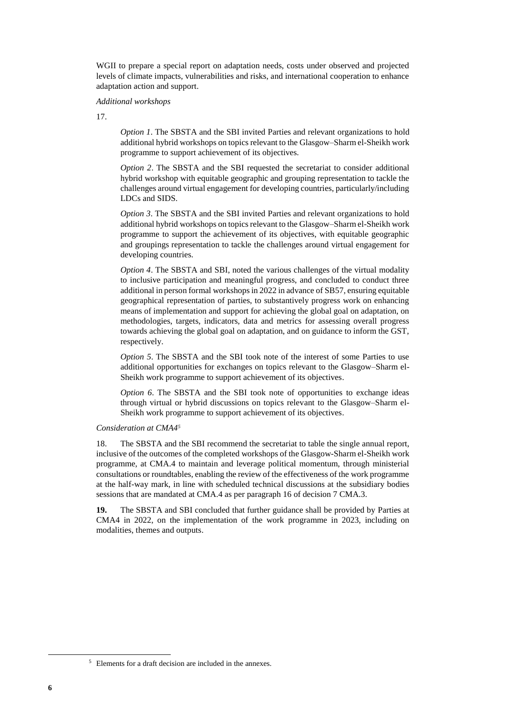WGII to prepare a special report on adaptation needs, costs under observed and projected levels of climate impacts, vulnerabilities and risks, and international cooperation to enhance adaptation action and support.

# *Additional workshops*

17.

*Option 1*. The SBSTA and the SBI invited Parties and relevant organizations to hold additional hybrid workshops on topics relevant to the Glasgow–Sharm el-Sheikh work programme to support achievement of its objectives.

*Option 2*. The SBSTA and the SBI requested the secretariat to consider additional hybrid workshop with equitable geographic and grouping representation to tackle the challenges around virtual engagement for developing countries, particularly/including LDCs and SIDS.

*Option 3*. The SBSTA and the SBI invited Parties and relevant organizations to hold additional hybrid workshops on topics relevant to the Glasgow–Sharm el-Sheikh work programme to support the achievement of its objectives, with equitable geographic and groupings representation to tackle the challenges around virtual engagement for developing countries.

*Option 4*. The SBSTA and SBI, noted the various challenges of the virtual modality to inclusive participation and meaningful progress, and concluded to conduct three additional in person formal workshops in 2022 in advance of SB57, ensuring equitable geographical representation of parties, to substantively progress work on enhancing means of implementation and support for achieving the global goal on adaptation, on methodologies, targets, indicators, data and metrics for assessing overall progress towards achieving the global goal on adaptation, and on guidance to inform the GST, respectively.

*Option 5*. The SBSTA and the SBI took note of the interest of some Parties to use additional opportunities for exchanges on topics relevant to the Glasgow–Sharm el-Sheikh work programme to support achievement of its objectives.

*Option 6*. The SBSTA and the SBI took note of opportunities to exchange ideas through virtual or hybrid discussions on topics relevant to the Glasgow–Sharm el-Sheikh work programme to support achievement of its objectives.

### *Consideration at CMA4<sup>5</sup>*

18. The SBSTA and the SBI recommend the secretariat to table the single annual report, inclusive of the outcomes of the completed workshops of the Glasgow-Sharm el-Sheikh work programme, at CMA.4 to maintain and leverage political momentum, through ministerial consultations or roundtables, enabling the review of the effectiveness of the work programme at the half-way mark, in line with scheduled technical discussions at the subsidiary bodies sessions that are mandated at CMA.4 as per paragraph 16 of decision 7 CMA.3.

**19.** The SBSTA and SBI concluded that further guidance shall be provided by Parties at CMA4 in 2022, on the implementation of the work programme in 2023, including on modalities, themes and outputs.

-

<sup>5</sup> Elements for a draft decision are included in the annexes.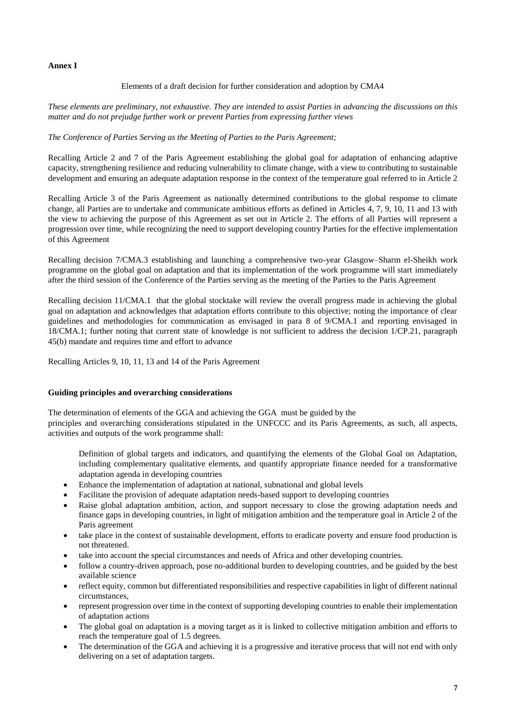# **Annex I**

# Elements of a draft decision for further consideration and adoption by CMA4

*These elements are preliminary, not exhaustive. They are intended to assist Parties in advancing the discussions on this matter and do not prejudge further work or prevent Parties from expressing further views*

# *The Conference of Parties Serving as the Meeting of Parties to the Paris Agreement;*

Recalling Article 2 and 7 of the Paris Agreement establishing the global goal for adaptation of enhancing adaptive capacity, strengthening resilience and reducing vulnerability to climate change, with a view to contributing to sustainable development and ensuring an adequate adaptation response in the context of the temperature goal referred to in Article 2

Recalling Article 3 of the Paris Agreement as nationally determined contributions to the global response to climate change, all Parties are to undertake and communicate ambitious efforts as defined in Articles 4, 7, 9, 10, 11 and 13 with the view to achieving the purpose of this Agreement as set out in Article 2. The efforts of all Parties will represent a progression over time, while recognizing the need to support developing country Parties for the effective implementation of this Agreement

Recalling decision 7/CMA.3 establishing and launching a comprehensive two-year Glasgow–Sharm el-Sheikh work programme on the global goal on adaptation and that its implementation of the work programme will start immediately after the third session of the Conference of the Parties serving as the meeting of the Parties to the Paris Agreement

Recalling decision 11/CMA.1 that the global stocktake will review the overall progress made in achieving the global goal on adaptation and acknowledges that adaptation efforts contribute to this objective; noting the importance of clear guidelines and methodologies for communication as envisaged in para 8 of 9/CMA.1 and reporting envisaged in 18/CMA.1; further noting that current state of knowledge is not sufficient to address the decision 1/CP.21, paragraph 45(b) mandate and requires time and effort to advance

Recalling Articles 9, 10, 11, 13 and 14 of the Paris Agreement

# **Guiding principles and overarching considerations**

The determination of elements of the GGA and achieving the GGA must be guided by the

principles and overarching considerations stipulated in the UNFCCC and its Paris Agreements, as such, all aspects, activities and outputs of the work programme shall:

Definition of global targets and indicators, and quantifying the elements of the Global Goal on Adaptation, including complementary qualitative elements, and quantify appropriate finance needed for a transformative adaptation agenda in developing countries

- Enhance the implementation of adaptation at national, subnational and global levels
- Facilitate the provision of adequate adaptation needs-based support to developing countries
- Raise global adaptation ambition, action, and support necessary to close the growing adaptation needs and finance gaps in developing countries, in light of mitigation ambition and the temperature goal in Article 2 of the Paris agreement
- take place in the context of sustainable development, efforts to eradicate poverty and ensure food production is not threatened.
- take into account the special circumstances and needs of Africa and other developing countries.
- follow a country-driven approach, pose no-additional burden to developing countries, and be guided by the best available science
- reflect equity, common but differentiated responsibilities and respective capabilities in light of different national circumstances,
- represent progression over time in the context of supporting developing countries to enable their implementation of adaptation actions
- The global goal on adaptation is a moving target as it is linked to collective mitigation ambition and efforts to reach the temperature goal of 1.5 degrees.
- The determination of the GGA and achieving it is a progressive and iterative process that will not end with only delivering on a set of adaptation targets.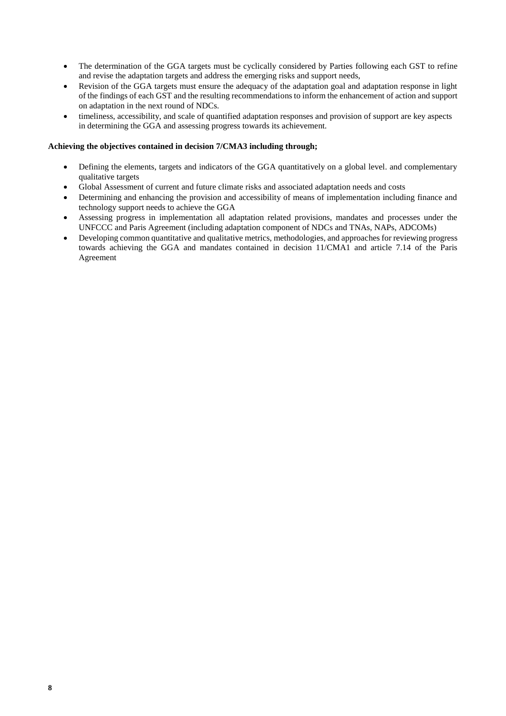- The determination of the GGA targets must be cyclically considered by Parties following each GST to refine and revise the adaptation targets and address the emerging risks and support needs,
- Revision of the GGA targets must ensure the adequacy of the adaptation goal and adaptation response in light of the findings of each GST and the resulting recommendations to inform the enhancement of action and support on adaptation in the next round of NDCs.
- timeliness, accessibility, and scale of quantified adaptation responses and provision of support are key aspects in determining the GGA and assessing progress towards its achievement.

# **Achieving the objectives contained in decision 7/CMA3 including through;**

- Defining the elements, targets and indicators of the GGA quantitatively on a global level. and complementary qualitative targets
- Global Assessment of current and future climate risks and associated adaptation needs and costs
- Determining and enhancing the provision and accessibility of means of implementation including finance and technology support needs to achieve the GGA
- Assessing progress in implementation all adaptation related provisions, mandates and processes under the UNFCCC and Paris Agreement (including adaptation component of NDCs and TNAs, NAPs, ADCOMs)
- Developing common quantitative and qualitative metrics, methodologies, and approaches for reviewing progress towards achieving the GGA and mandates contained in decision 11/CMA1 and article 7.14 of the Paris Agreement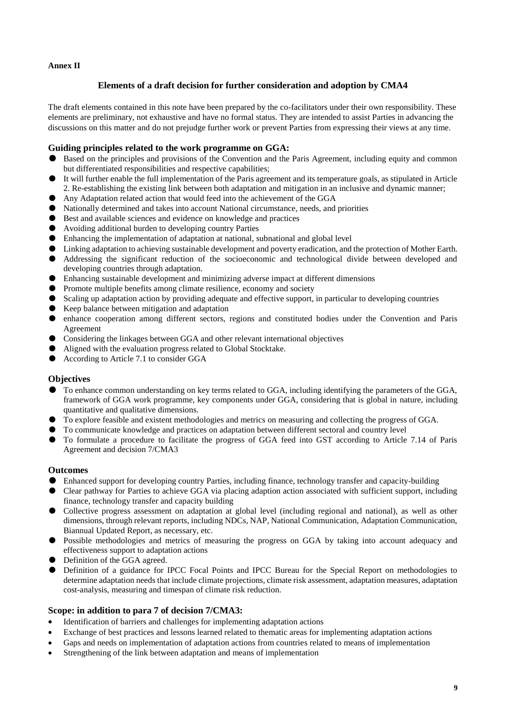# **Annex II**

# **Elements of a draft decision for further consideration and adoption by CMA4**

The draft elements contained in this note have been prepared by the co-facilitators under their own responsibility. These elements are preliminary, not exhaustive and have no formal status. They are intended to assist Parties in advancing the discussions on this matter and do not prejudge further work or prevent Parties from expressing their views at any time.

# **Guiding principles related to the work programme on GGA:**

- Based on the principles and provisions of the Convention and the Paris Agreement, including equity and common but differentiated responsibilities and respective capabilities;
- It will further enable the full implementation of the Paris agreement and its temperature goals, as stipulated in Article 2. Re-establishing the existing link between both adaptation and mitigation in an inclusive and dynamic manner;
- Any Adaptation related action that would feed into the achievement of the GGA
- Nationally determined and takes into account National circumstance, needs, and priorities
- Best and available sciences and evidence on knowledge and practices
- Avoiding additional burden to developing country Parties
- $\bullet$  Enhancing the implementation of adaptation at national, subnational and global level
- Linking adaptation to achieving sustainable development and poverty eradication, and the protection of Mother Earth.
- Addressing the significant reduction of the socioeconomic and technological divide between developed and developing countries through adaptation.
- Enhancing sustainable development and minimizing adverse impact at different dimensions
- Promote multiple benefits among climate resilience, economy and society
- Scaling up adaptation action by providing adequate and effective support, in particular to developing countries
- Keep balance between mitigation and adaptation
- enhance cooperation among different sectors, regions and constituted bodies under the Convention and Paris Agreement
- Considering the linkages between GGA and other relevant international objectives
- Aligned with the evaluation progress related to Global Stocktake.
- According to Article 7.1 to consider GGA

# **Objectives**

- To enhance common understanding on key terms related to GGA, including identifying the parameters of the GGA, framework of GGA work programme, key components under GGA, considering that is global in nature, including quantitative and qualitative dimensions.
- To explore feasible and existent methodologies and metrics on measuring and collecting the progress of GGA.
- To communicate knowledge and practices on adaptation between different sectoral and country level
- To formulate a procedure to facilitate the progress of GGA feed into GST according to Article 7.14 of Paris Agreement and decision 7/CMA3

# **Outcomes**

- Enhanced support for developing country Parties, including finance, technology transfer and capacity-building
- Clear pathway for Parties to achieve GGA via placing adaption action associated with sufficient support, including finance, technology transfer and capacity building
- Collective progress assessment on adaptation at global level (including regional and national), as well as other dimensions, through relevant reports, including NDCs, NAP, National Communication, Adaptation Communication, Biannual Updated Report, as necessary, etc.
- Possible methodologies and metrics of measuring the progress on GGA by taking into account adequacy and effectiveness support to adaptation actions
- Definition of the GGA agreed.
- Definition of a guidance for IPCC Focal Points and IPCC Bureau for the Special Report on methodologies to determine adaptation needs that include climate projections, climate risk assessment, adaptation measures, adaptation cost-analysis, measuring and timespan of climate risk reduction.

# **Scope: in addition to para 7 of decision 7/CMA3:**

- Identification of barriers and challenges for implementing adaptation actions
- Exchange of best practices and lessons learned related to thematic areas for implementing adaptation actions
- Gaps and needs on implementation of adaptation actions from countries related to means of implementation
- Strengthening of the link between adaptation and means of implementation